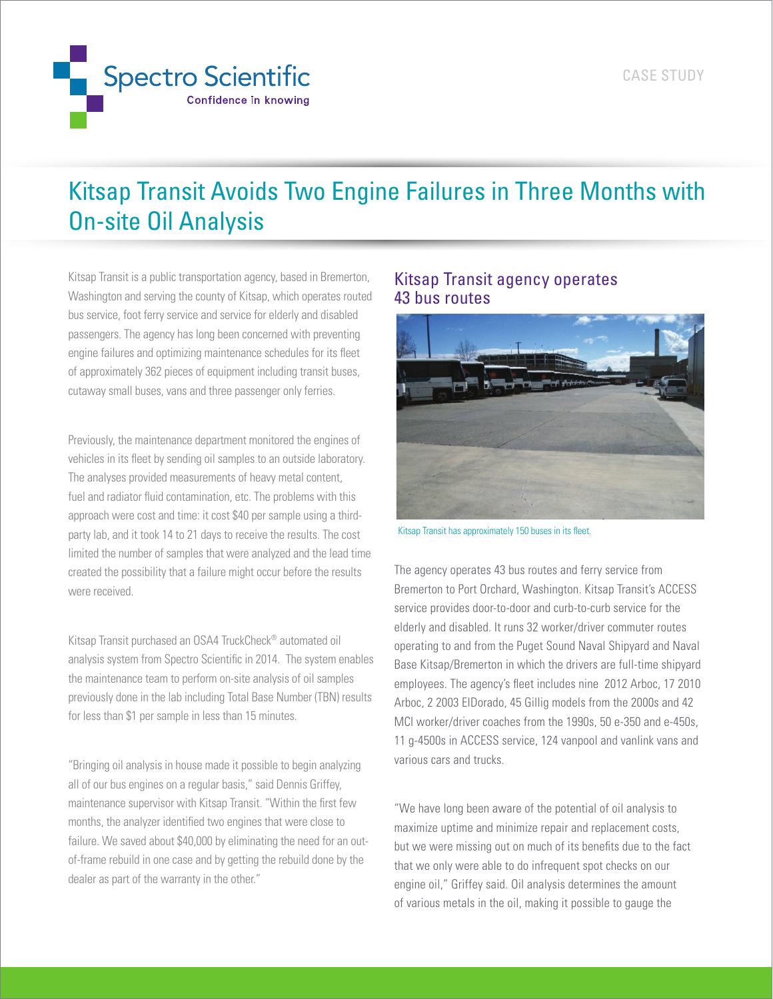

## Kitsap Transit Avoids Two Engine Failures in Three Months with On-site Oil Analysis

Kitsap Transit is a public transportation agency, based in Bremerton, Washington and serving the county of Kitsap, which operates routed bus service, foot ferry service and service for elderly and disabled passengers. The agency has long been concerned with preventing engine failures and optimizing maintenance schedules for its fleet of approximately 362 pieces of equipment including transit buses, cutaway small buses, vans and three passenger only ferries.

Previously, the maintenance department monitored the engines of vehicles in its fleet by sending oil samples to an outside laboratory. The analyses provided measurements of heavy metal content, fuel and radiator fluid contamination, etc. The problems with this approach were cost and time: it cost \$40 per sample using a thirdparty lab, and it took 14 to 21 days to receive the results. The cost limited the number of samples that were analyzed and the lead time created the possibility that a failure might occur before the results were received.

Kitsap Transit purchased an OSA4 TruckCheck® automated oil analysis system from Spectro Scientific in 2014. The system enables the maintenance team to perform on-site analysis of oil samples previously done in the lab including Total Base Number (TBN) results for less than \$1 per sample in less than 15 minutes.

"Bringing oil analysis in house made it possible to begin analyzing all of our bus engines on a regular basis," said Dennis Griffey, maintenance supervisor with Kitsap Transit. "Within the first few months, the analyzer identified two engines that were close to failure. We saved about \$40,000 by eliminating the need for an outof-frame rebuild in one case and by getting the rebuild done by the dealer as part of the warranty in the other."

## Kitsap Transit agency operates 43 bus routes



Kitsap Transit has approximately 150 buses in its fleet.

The agency operates 43 bus routes and ferry service from Bremerton to Port Orchard, Washington. Kitsap Transit's ACCESS service provides door-to-door and curb-to-curb service for the elderly and disabled. It runs 32 worker/driver commuter routes operating to and from the Puget Sound Naval Shipyard and Naval Base Kitsap/Bremerton in which the drivers are full-time shipyard employees. The agency's fleet includes nine 2012 Arboc, 17 2010 Arboc, 2 2003 ElDorado, 45 Gillig models from the 2000s and 42 MCI worker/driver coaches from the 1990s, 50 e-350 and e-450s, 11 g-4500s in ACCESS service, 124 vanpool and vanlink vans and various cars and trucks.

"We have long been aware of the potential of oil analysis to maximize uptime and minimize repair and replacement costs, but we were missing out on much of its benefits due to the fact that we only were able to do infrequent spot checks on our engine oil," Griffey said. Oil analysis determines the amount of various metals in the oil, making it possible to gauge the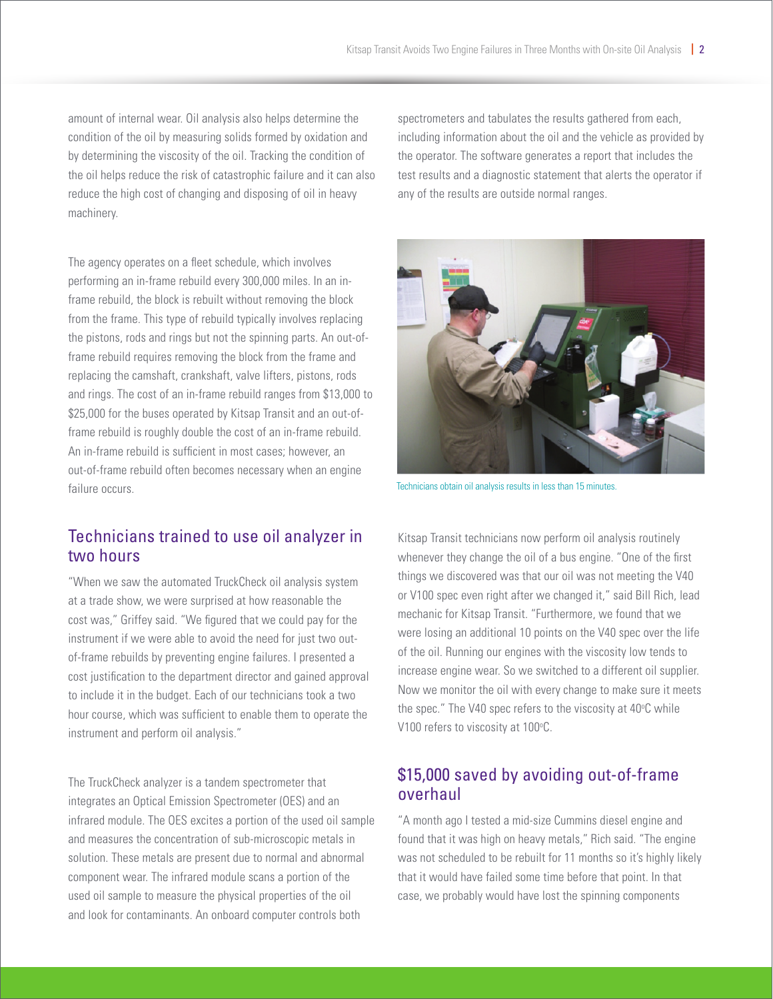amount of internal wear. Oil analysis also helps determine the condition of the oil by measuring solids formed by oxidation and by determining the viscosity of the oil. Tracking the condition of the oil helps reduce the risk of catastrophic failure and it can also reduce the high cost of changing and disposing of oil in heavy machinery.

The agency operates on a fleet schedule, which involves performing an in-frame rebuild every 300,000 miles. In an inframe rebuild, the block is rebuilt without removing the block from the frame. This type of rebuild typically involves replacing the pistons, rods and rings but not the spinning parts. An out-offrame rebuild requires removing the block from the frame and replacing the camshaft, crankshaft, valve lifters, pistons, rods and rings. The cost of an in-frame rebuild ranges from \$13,000 to \$25,000 for the buses operated by Kitsap Transit and an out-offrame rebuild is roughly double the cost of an in-frame rebuild. An in-frame rebuild is sufficient in most cases; however, an out-of-frame rebuild often becomes necessary when an engine failure occurs.

## Technicians trained to use oil analyzer in two hours

"When we saw the automated TruckCheck oil analysis system at a trade show, we were surprised at how reasonable the cost was," Griffey said. "We figured that we could pay for the instrument if we were able to avoid the need for just two outof-frame rebuilds by preventing engine failures. I presented a cost justification to the department director and gained approval to include it in the budget. Each of our technicians took a two hour course, which was sufficient to enable them to operate the instrument and perform oil analysis."

The TruckCheck analyzer is a tandem spectrometer that integrates an Optical Emission Spectrometer (OES) and an infrared module. The OES excites a portion of the used oil sample and measures the concentration of sub-microscopic metals in solution. These metals are present due to normal and abnormal component wear. The infrared module scans a portion of the used oil sample to measure the physical properties of the oil and look for contaminants. An onboard computer controls both

spectrometers and tabulates the results gathered from each, including information about the oil and the vehicle as provided by the operator. The software generates a report that includes the test results and a diagnostic statement that alerts the operator if any of the results are outside normal ranges.



Technicians obtain oil analysis results in less than 15 minutes.

Kitsap Transit technicians now perform oil analysis routinely whenever they change the oil of a bus engine. "One of the first things we discovered was that our oil was not meeting the V40 or V100 spec even right after we changed it," said Bill Rich, lead mechanic for Kitsap Transit. "Furthermore, we found that we were losing an additional 10 points on the V40 spec over the life of the oil. Running our engines with the viscosity low tends to increase engine wear. So we switched to a different oil supplier. Now we monitor the oil with every change to make sure it meets the spec." The V40 spec refers to the viscosity at 40°C while V100 refers to viscosity at 100°C.

## \$15,000 saved by avoiding out-of-frame overhaul

"A month ago I tested a mid-size Cummins diesel engine and found that it was high on heavy metals," Rich said. "The engine was not scheduled to be rebuilt for 11 months so it's highly likely that it would have failed some time before that point. In that case, we probably would have lost the spinning components